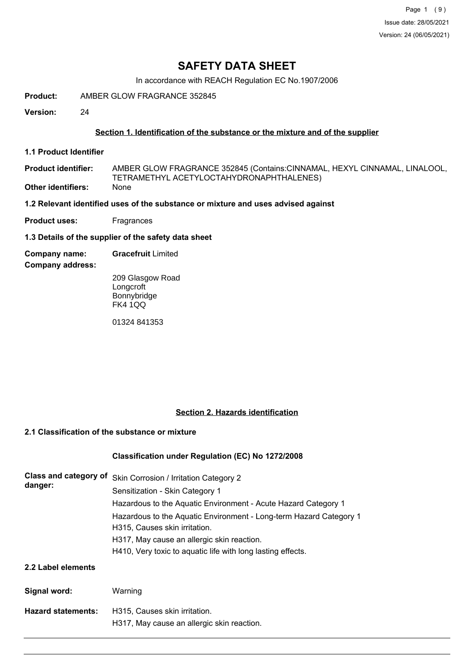Page 1 (9) Issue date: 28/05/2021 Version: 24 (06/05/2021)

## **SAFETY DATA SHEET**

In accordance with REACH Regulation EC No.1907/2006

**Product:** AMBER GLOW FRAGRANCE 352845

**Version:** 24

### **Section 1. Identification of the substance or the mixture and of the supplier**

**1.1 Product Identifier**

AMBER GLOW FRAGRANCE 352845 (Contains:CINNAMAL, HEXYL CINNAMAL, LINALOOL, TETRAMETHYL ACETYLOCTAHYDRONAPHTHALENES) **Product identifier: Other identifiers:** None

**1.2 Relevant identified uses of the substance or mixture and uses advised against**

**Product uses:** Fragrances

**1.3 Details of the supplier of the safety data sheet**

**Company name: Gracefruit** Limited

**Company address:**

209 Glasgow Road **Longcroft** Bonnybridge FK4 1QQ

01324 841353

#### **Section 2. Hazards identification**

## **2.1 Classification of the substance or mixture**

#### **Classification under Regulation (EC) No 1272/2008**

| Class and category of<br>danger: | Skin Corrosion / Irritation Category 2                             |  |  |
|----------------------------------|--------------------------------------------------------------------|--|--|
|                                  | Sensitization - Skin Category 1                                    |  |  |
|                                  | Hazardous to the Aquatic Environment - Acute Hazard Category 1     |  |  |
|                                  | Hazardous to the Aquatic Environment - Long-term Hazard Category 1 |  |  |
|                                  | H315, Causes skin irritation.                                      |  |  |
|                                  | H317, May cause an allergic skin reaction.                         |  |  |
|                                  | H410, Very toxic to aquatic life with long lasting effects.        |  |  |
| 2.2 Label elements               |                                                                    |  |  |
| Signal word:                     | Warning                                                            |  |  |

| <b>Hazard statements:</b> | H315. Causes skin irritation.              |
|---------------------------|--------------------------------------------|
|                           | H317, May cause an allergic skin reaction. |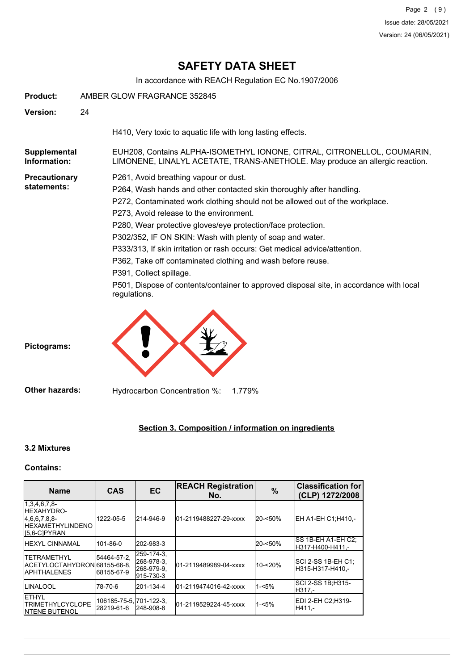In accordance with REACH Regulation EC No.1907/2006

| Product:                            | AMBER GLOW FRAGRANCE 352845                                                                                                                                                                                                                                                                                                                                                                                                                                                                                                                                                                                                                              |
|-------------------------------------|----------------------------------------------------------------------------------------------------------------------------------------------------------------------------------------------------------------------------------------------------------------------------------------------------------------------------------------------------------------------------------------------------------------------------------------------------------------------------------------------------------------------------------------------------------------------------------------------------------------------------------------------------------|
| Version:                            | 24                                                                                                                                                                                                                                                                                                                                                                                                                                                                                                                                                                                                                                                       |
|                                     | H410, Very toxic to aquatic life with long lasting effects.                                                                                                                                                                                                                                                                                                                                                                                                                                                                                                                                                                                              |
| Supplemental<br>Information:        | EUH208, Contains ALPHA-ISOMETHYL IONONE, CITRAL, CITRONELLOL, COUMARIN,<br>LIMONENE, LINALYL ACETATE, TRANS-ANETHOLE. May produce an allergic reaction.                                                                                                                                                                                                                                                                                                                                                                                                                                                                                                  |
| <b>Precautionary</b><br>statements: | P261, Avoid breathing vapour or dust.<br>P264, Wash hands and other contacted skin thoroughly after handling.<br>P272, Contaminated work clothing should not be allowed out of the workplace.<br>P273, Avoid release to the environment.<br>P280, Wear protective gloves/eye protection/face protection.<br>P302/352, IF ON SKIN: Wash with plenty of soap and water.<br>P333/313, If skin irritation or rash occurs: Get medical advice/attention.<br>P362, Take off contaminated clothing and wash before reuse.<br>P391, Collect spillage.<br>P501, Dispose of contents/container to approved disposal site, in accordance with local<br>regulations. |
| Pictograms:                         |                                                                                                                                                                                                                                                                                                                                                                                                                                                                                                                                                                                                                                                          |

**Other hazards:** Hydrocarbon Concentration %: 1.779%

## **Section 3. Composition / information on ingredients**

## **3.2 Mixtures**

## **Contains:**

| <b>Name</b>                                                                                      | <b>CAS</b>                            | <b>EC</b>                                           | <b>REACH Registration</b><br>No. | $\%$       | <b>Classification for</b><br>(CLP) 1272/2008 |
|--------------------------------------------------------------------------------------------------|---------------------------------------|-----------------------------------------------------|----------------------------------|------------|----------------------------------------------|
| $1,3,4,6,7,8$ -<br><b>HEXAHYDRO-</b><br>[4,6,6,7,8,8]<br><b>HEXAMETHYLINDENO</b><br>[5,6-C]PYRAN | 1222-05-5                             | 214-946-9                                           | 01-2119488227-29-xxxx            | $20 - 50%$ | EH A1-EH C1; H410,-                          |
| <b>HEXYL CINNAMAL</b>                                                                            | 101-86-0                              | 202-983-3                                           |                                  | 20-<50%    | ISS 1B-EH A1-EH C2:<br>H317-H400-H411.-      |
| <b>ITETRAMETHYL</b><br>ACETYLOCTAHYDRON68155-66-8.<br><b>APHTHALENES</b>                         | 54464-57-2,<br>68155-67-9             | 259-174-3.<br>268-978-3.<br>268-979-9.<br>915-730-3 | 01-2119489989-04-xxxx            | 10-<20%    | ISCI 2-SS 1B-EH C1:<br>H315-H317-H410.-      |
| <b>ILINALOOL</b>                                                                                 | 78-70-6                               | 201-134-4                                           | 01-2119474016-42-xxxx            | $1 - 5%$   | SCI 2-SS 1B; H315-<br>H317.-                 |
| <b>IETHYL</b><br><b>ITRIMETHYLCYCLOPE</b><br><b>INTENE BUTENOL</b>                               | 106185-75-5, 701-122-3,<br>28219-61-6 | 248-908-8                                           | 01-2119529224-45-xxxx            | $1 - 5%$   | EDI 2-EH C2;H319-<br>H411.-                  |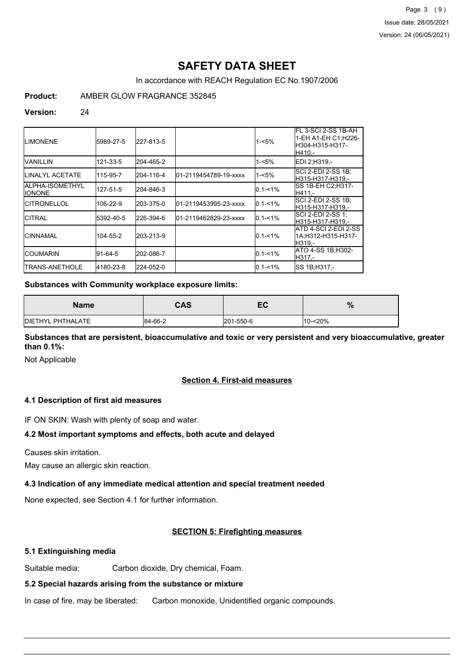In accordance with REACH Regulation EC No.1907/2006

**Product:** AMBER GLOW FRAGRANCE 352845

#### **Version:** 24

| <b>I</b> LIMONENE                          | 5989-27-5 | 227-813-5 |                       | $1 - 5%$    | IFL 3-SCI 2-SS 1B-AH<br>1-EH A1-EH C1;H226-<br>lH304-H315-H317-<br>IH410.- |
|--------------------------------------------|-----------|-----------|-----------------------|-------------|----------------------------------------------------------------------------|
| IVANILLIN                                  | 121-33-5  | 204-465-2 |                       | 1-<5%       | EDI 2:H319.-                                                               |
| <b>I</b> LINALYL ACETATE                   | 115-95-7  | 204-116-4 | 01-2119454789-19-xxxx | 1-<5%       | ISCI 2-EDI 2-SS 1B:<br>H315-H317-H319.-                                    |
| <b>IALPHA-ISOMETHYL</b><br><b>I</b> IONONE | 127-51-5  | 204-846-3 |                       | $0.1 - 1\%$ | SS 1B-EH C2;H317-<br>IH411.-                                               |
| ICITRONELLOL                               | 106-22-9  | 203-375-0 | 01-2119453995-23-xxxx | $0.1 - 1\%$ | ISCI 2-EDI 2-SS 1B:<br>lH315-H317-H319.-                                   |
| ICITRAL                                    | 5392-40-5 | 226-394-6 | 01-2119462829-23-xxxx | $0.1 - 1\%$ | SCI 2-EDI 2-SS 1;<br>lH315-H317-H319.-                                     |
| ICINNAMAL                                  | 104-55-2  | 203-213-9 |                       | $0.1 - 1\%$ | IATD 4-SCI 2-EDI 2-SS<br>1A;H312-H315-H317-<br>IH319.-                     |
| ICOUMARIN                                  | 91-64-5   | 202-086-7 |                       | $0.1 - 1%$  | IATO 4-SS 1B:H302-<br>H317.-                                               |
| TRANS-ANETHOLE                             | 4180-23-8 | 224-052-0 |                       | $0.1 - 1%$  | ISS 1B:H317.-                                                              |

#### **Substances with Community workplace exposure limits:**

| <b>Name</b>               | <b>CAS</b> | EC        | %          |
|---------------------------|------------|-----------|------------|
| <b>IDIETHYL PHTHALATE</b> | 84-66-2    | 201-550-6 | $10 - 20%$ |

**Substances that are persistent, bioaccumulative and toxic or very persistent and very bioaccumulative, greater than 0.1%:**

Not Applicable

#### **Section 4. First-aid measures**

#### **4.1 Description of first aid measures**

IF ON SKIN: Wash with plenty of soap and water.

#### **4.2 Most important symptoms and effects, both acute and delayed**

Causes skin irritation.

May cause an allergic skin reaction.

#### **4.3 Indication of any immediate medical attention and special treatment needed**

None expected, see Section 4.1 for further information.

#### **SECTION 5: Firefighting measures**

#### **5.1 Extinguishing media**

Suitable media: Carbon dioxide, Dry chemical, Foam.

## **5.2 Special hazards arising from the substance or mixture**

In case of fire, may be liberated: Carbon monoxide, Unidentified organic compounds.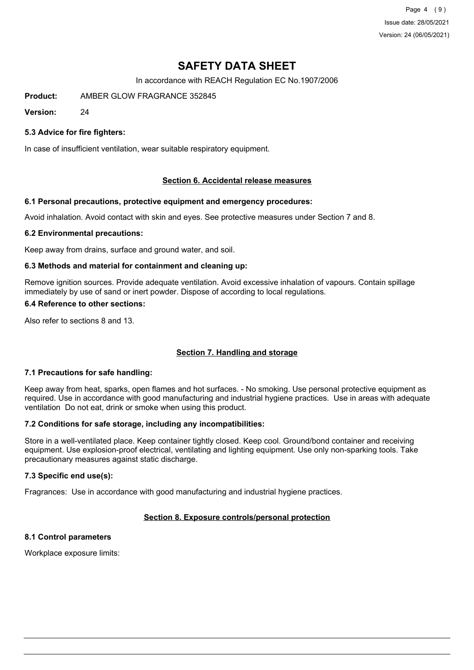Page 4 (9) Issue date: 28/05/2021 Version: 24 (06/05/2021)

# **SAFETY DATA SHEET**

In accordance with REACH Regulation EC No.1907/2006

**Product:** AMBER GLOW FRAGRANCE 352845

**Version:** 24

#### **5.3 Advice for fire fighters:**

In case of insufficient ventilation, wear suitable respiratory equipment.

#### **Section 6. Accidental release measures**

#### **6.1 Personal precautions, protective equipment and emergency procedures:**

Avoid inhalation. Avoid contact with skin and eyes. See protective measures under Section 7 and 8.

#### **6.2 Environmental precautions:**

Keep away from drains, surface and ground water, and soil.

#### **6.3 Methods and material for containment and cleaning up:**

Remove ignition sources. Provide adequate ventilation. Avoid excessive inhalation of vapours. Contain spillage immediately by use of sand or inert powder. Dispose of according to local regulations.

#### **6.4 Reference to other sections:**

Also refer to sections 8 and 13.

#### **Section 7. Handling and storage**

#### **7.1 Precautions for safe handling:**

Keep away from heat, sparks, open flames and hot surfaces. - No smoking. Use personal protective equipment as required. Use in accordance with good manufacturing and industrial hygiene practices. Use in areas with adequate ventilation Do not eat, drink or smoke when using this product.

#### **7.2 Conditions for safe storage, including any incompatibilities:**

Store in a well-ventilated place. Keep container tightly closed. Keep cool. Ground/bond container and receiving equipment. Use explosion-proof electrical, ventilating and lighting equipment. Use only non-sparking tools. Take precautionary measures against static discharge.

#### **7.3 Specific end use(s):**

Fragrances: Use in accordance with good manufacturing and industrial hygiene practices.

## **Section 8. Exposure controls/personal protection**

## **8.1 Control parameters**

Workplace exposure limits: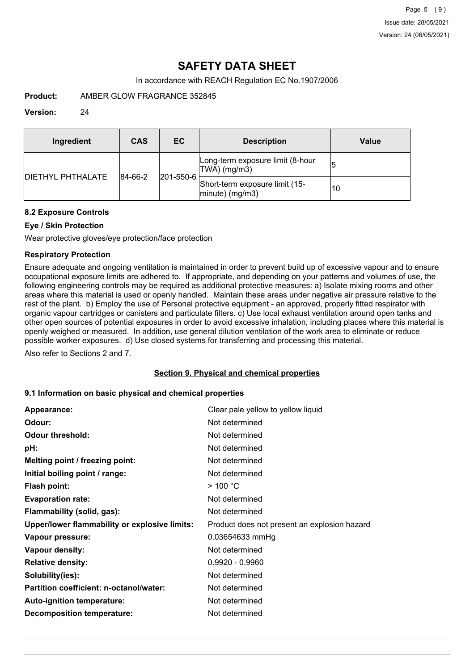In accordance with REACH Regulation EC No.1907/2006

**Product:** AMBER GLOW FRAGRANCE 352845

#### **Version:** 24

| Ingredient                | CAS     | EC.               | <b>Description</b>                                   | Value |
|---------------------------|---------|-------------------|------------------------------------------------------|-------|
| <b>IDIETHYL PHTHALATE</b> | 84-66-2 | $ 201 - 550 - 6 $ | Long-term exposure limit (8-hour<br>TWA) (mg/m3)     | 15    |
|                           |         |                   | Short-term exposure limit (15-<br>$ minute)$ (mg/m3) | 10    |

#### **8.2 Exposure Controls**

## **Eye / Skin Protection**

Wear protective gloves/eye protection/face protection

### **Respiratory Protection**

Ensure adequate and ongoing ventilation is maintained in order to prevent build up of excessive vapour and to ensure occupational exposure limits are adhered to. If appropriate, and depending on your patterns and volumes of use, the following engineering controls may be required as additional protective measures: a) Isolate mixing rooms and other areas where this material is used or openly handled. Maintain these areas under negative air pressure relative to the rest of the plant. b) Employ the use of Personal protective equipment - an approved, properly fitted respirator with organic vapour cartridges or canisters and particulate filters. c) Use local exhaust ventilation around open tanks and other open sources of potential exposures in order to avoid excessive inhalation, including places where this material is openly weighed or measured. In addition, use general dilution ventilation of the work area to eliminate or reduce possible worker exposures. d) Use closed systems for transferring and processing this material.

Also refer to Sections 2 and 7.

#### **Section 9. Physical and chemical properties**

#### **9.1 Information on basic physical and chemical properties**

| Appearance:                                   | Clear pale yellow to yellow liquid           |
|-----------------------------------------------|----------------------------------------------|
| Odour:                                        | Not determined                               |
| <b>Odour threshold:</b>                       | Not determined                               |
| pH:                                           | Not determined                               |
| Melting point / freezing point:               | Not determined                               |
| Initial boiling point / range:                | Not determined                               |
| <b>Flash point:</b>                           | $>$ 100 °C                                   |
| <b>Evaporation rate:</b>                      | Not determined                               |
| Flammability (solid, gas):                    | Not determined                               |
| Upper/lower flammability or explosive limits: | Product does not present an explosion hazard |
| Vapour pressure:                              | 0.03654633 mmHg                              |
| Vapour density:                               | Not determined                               |
| <b>Relative density:</b>                      | $0.9920 - 0.9960$                            |
| Solubility(ies):                              | Not determined                               |
| Partition coefficient: n-octanol/water:       | Not determined                               |
| Auto-ignition temperature:                    | Not determined                               |
| <b>Decomposition temperature:</b>             | Not determined                               |
|                                               |                                              |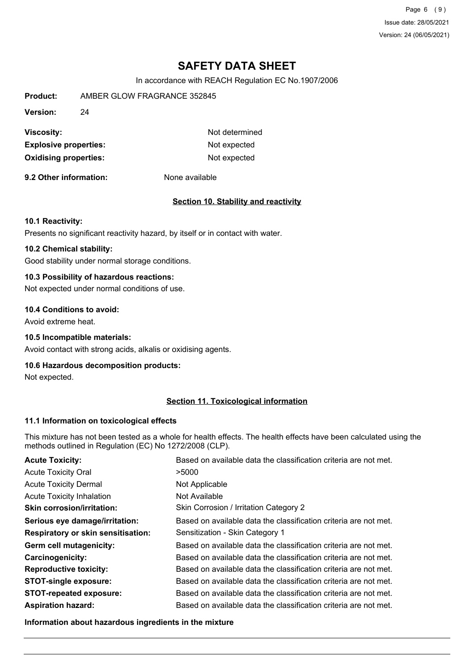Page 6 (9) Issue date: 28/05/2021 Version: 24 (06/05/2021)

## **SAFETY DATA SHEET**

In accordance with REACH Regulation EC No.1907/2006

| Product:                     | AMBER GLOW FRAGRANCE 352845 |                |
|------------------------------|-----------------------------|----------------|
| Version:                     | 24                          |                |
| Viscosity:                   |                             | Not determined |
| <b>Explosive properties:</b> |                             | Not expected   |
| <b>Oxidising properties:</b> |                             | Not expected   |

**9.2 Other information:** None available

#### **Section 10. Stability and reactivity**

#### **10.1 Reactivity:**

Presents no significant reactivity hazard, by itself or in contact with water.

### **10.2 Chemical stability:**

Good stability under normal storage conditions.

## **10.3 Possibility of hazardous reactions:**

Not expected under normal conditions of use.

#### **10.4 Conditions to avoid:**

Avoid extreme heat.

#### **10.5 Incompatible materials:**

Avoid contact with strong acids, alkalis or oxidising agents.

#### **10.6 Hazardous decomposition products:**

Not expected.

### **Section 11. Toxicological information**

#### **11.1 Information on toxicological effects**

This mixture has not been tested as a whole for health effects. The health effects have been calculated using the methods outlined in Regulation (EC) No 1272/2008 (CLP).

| <b>Acute Toxicity:</b>                    | Based on available data the classification criteria are not met. |
|-------------------------------------------|------------------------------------------------------------------|
| <b>Acute Toxicity Oral</b>                | >5000                                                            |
| <b>Acute Toxicity Dermal</b>              | Not Applicable                                                   |
| <b>Acute Toxicity Inhalation</b>          | Not Available                                                    |
| <b>Skin corrosion/irritation:</b>         | Skin Corrosion / Irritation Category 2                           |
| Serious eye damage/irritation:            | Based on available data the classification criteria are not met. |
| <b>Respiratory or skin sensitisation:</b> | Sensitization - Skin Category 1                                  |
| Germ cell mutagenicity:                   | Based on available data the classification criteria are not met. |
| <b>Carcinogenicity:</b>                   | Based on available data the classification criteria are not met. |
| <b>Reproductive toxicity:</b>             | Based on available data the classification criteria are not met. |
| <b>STOT-single exposure:</b>              | Based on available data the classification criteria are not met. |
| <b>STOT-repeated exposure:</b>            | Based on available data the classification criteria are not met. |
| <b>Aspiration hazard:</b>                 | Based on available data the classification criteria are not met. |

**Information about hazardous ingredients in the mixture**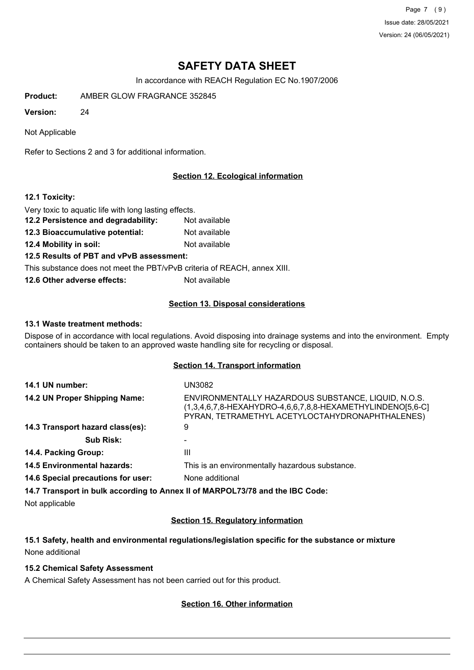Page 7 (9) Issue date: 28/05/2021 Version: 24 (06/05/2021)

# **SAFETY DATA SHEET**

In accordance with REACH Regulation EC No.1907/2006

**Product:** AMBER GLOW FRAGRANCE 352845

**Version:** 24

Not Applicable

Refer to Sections 2 and 3 for additional information.

### **Section 12. Ecological information**

#### **12.1 Toxicity:**

Very toxic to aquatic life with long lasting effects.

- **12.2 Persistence and degradability:** Not available
- **12.3 Bioaccumulative potential:** Not available
- **12.4 Mobility in soil:** Not available

#### **12.5 Results of PBT and vPvB assessment:**

This substance does not meet the PBT/vPvB criteria of REACH, annex XIII.

**12.6 Other adverse effects:** Not available

#### **Section 13. Disposal considerations**

#### **13.1 Waste treatment methods:**

Dispose of in accordance with local regulations. Avoid disposing into drainage systems and into the environment. Empty containers should be taken to an approved waste handling site for recycling or disposal.

#### **Section 14. Transport information**

| 14.1 UN number:                    | UN3082                                                                                                                                                               |
|------------------------------------|----------------------------------------------------------------------------------------------------------------------------------------------------------------------|
| 14.2 UN Proper Shipping Name:      | ENVIRONMENTALLY HAZARDOUS SUBSTANCE, LIQUID, N.O.S.<br>(1,3,4,6,7,8-HEXAHYDRO-4,6,6,7,8,8-HEXAMETHYLINDENO[5,6-C]<br>PYRAN, TETRAMETHYL ACETYLOCTAHYDRONAPHTHALENES) |
| 14.3 Transport hazard class(es):   | 9                                                                                                                                                                    |
| <b>Sub Risk:</b>                   |                                                                                                                                                                      |
| 14.4. Packing Group:               | Ш                                                                                                                                                                    |
| <b>14.5 Environmental hazards:</b> | This is an environmentally hazardous substance.                                                                                                                      |
| 14.6 Special precautions for user: | None additional                                                                                                                                                      |
|                                    |                                                                                                                                                                      |

**14.7 Transport in bulk according to Annex II of MARPOL73/78 and the IBC Code:**

Not applicable

#### **Section 15. Regulatory information**

## **15.1 Safety, health and environmental regulations/legislation specific for the substance or mixture** None additional

#### **15.2 Chemical Safety Assessment**

A Chemical Safety Assessment has not been carried out for this product.

#### **Section 16. Other information**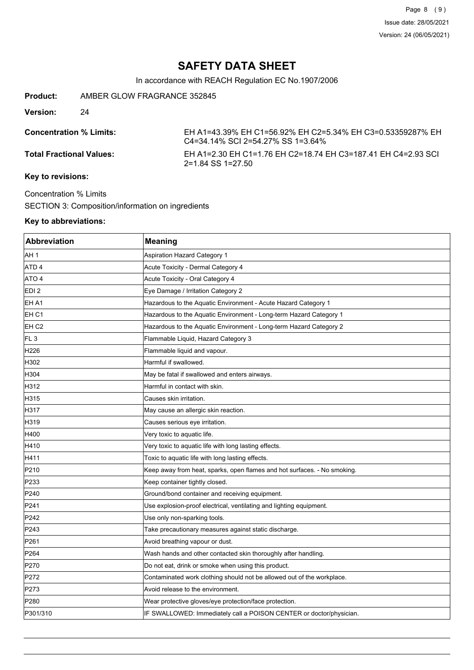In accordance with REACH Regulation EC No.1907/2006

**Product:** AMBER GLOW FRAGRANCE 352845

**Version:** 24

**Concentration % Limits:** EH A1=43.39% EH C1=56.92% EH C2=5.34% EH C3=0.53359287% EH C4=34.14% SCI 2=54.27% SS 1=3.64% **Total Fractional Values:** EH A1=2.30 EH C1=1.76 EH C2=18.74 EH C3=187.41 EH C4=2.93 SCI 2=1.84 SS 1=27.50

### **Key to revisions:**

Concentration % Limits SECTION 3: Composition/information on ingredients

#### **Key to abbreviations:**

| Abbreviation     | <b>Meaning</b>                                                           |
|------------------|--------------------------------------------------------------------------|
| AH 1             | <b>Aspiration Hazard Category 1</b>                                      |
| ATD <sub>4</sub> | Acute Toxicity - Dermal Category 4                                       |
| ATO 4            | Acute Toxicity - Oral Category 4                                         |
| EDI 2            | Eye Damage / Irritation Category 2                                       |
| EH A1            | Hazardous to the Aquatic Environment - Acute Hazard Category 1           |
| EH <sub>C1</sub> | Hazardous to the Aquatic Environment - Long-term Hazard Category 1       |
| EH C2            | Hazardous to the Aquatic Environment - Long-term Hazard Category 2       |
| FL <sub>3</sub>  | Flammable Liquid, Hazard Category 3                                      |
| H <sub>226</sub> | Flammable liquid and vapour.                                             |
| H302             | Harmful if swallowed.                                                    |
| H304             | May be fatal if swallowed and enters airways.                            |
| H312             | Harmful in contact with skin.                                            |
| H315             | Causes skin irritation.                                                  |
| H317             | May cause an allergic skin reaction.                                     |
| H319             | Causes serious eye irritation.                                           |
| H400             | Very toxic to aquatic life.                                              |
| H410             | Very toxic to aquatic life with long lasting effects.                    |
| H411             | Toxic to aquatic life with long lasting effects.                         |
| P210             | Keep away from heat, sparks, open flames and hot surfaces. - No smoking. |
| P233             | Keep container tightly closed.                                           |
| P240             | Ground/bond container and receiving equipment.                           |
| P <sub>241</sub> | Use explosion-proof electrical, ventilating and lighting equipment.      |
| P242             | Use only non-sparking tools.                                             |
| P243             | Take precautionary measures against static discharge.                    |
| P261             | Avoid breathing vapour or dust.                                          |
| P <sub>264</sub> | Wash hands and other contacted skin thoroughly after handling.           |
| P270             | Do not eat, drink or smoke when using this product.                      |
| P272             | Contaminated work clothing should not be allowed out of the workplace.   |
| P273             | Avoid release to the environment.                                        |
| P280             | Wear protective gloves/eye protection/face protection.                   |
| P301/310         | IF SWALLOWED: Immediately call a POISON CENTER or doctor/physician.      |